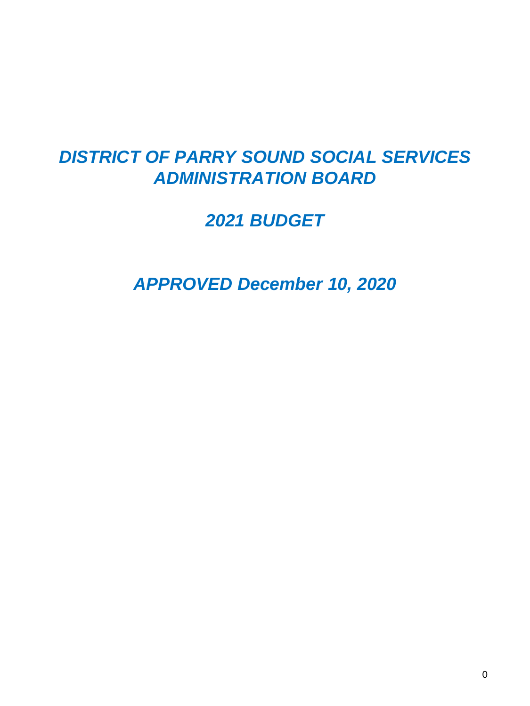# *DISTRICT OF PARRY SOUND SOCIAL SERVICES ADMINISTRATION BOARD*

## *2021 BUDGET*

*APPROVED December 10, 2020*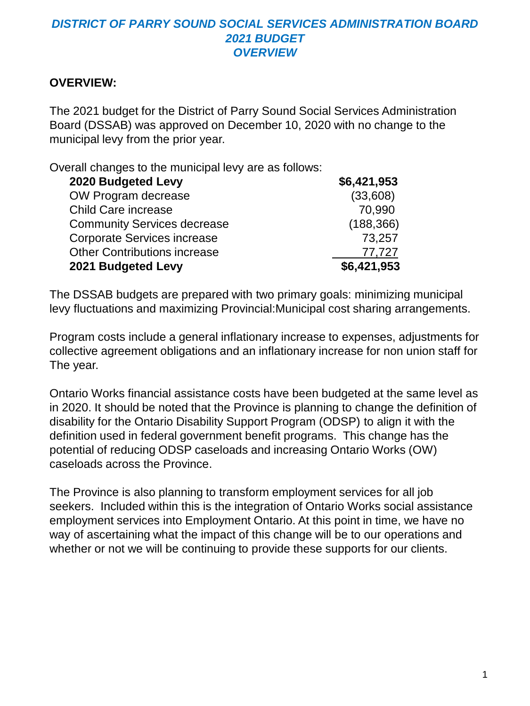## *DISTRICT OF PARRY SOUND SOCIAL SERVICES ADMINISTRATION BOARD 2021 BUDGET OVERVIEW*

## **OVERVIEW:**

The 2021 budget for the District of Parry Sound Social Services Administration Board (DSSAB) was approved on December 10, 2020 with no change to the municipal levy from the prior year.

Overall changes to the municipal levy are as follows:

| 2020 Budgeted Levy                  | \$6,421,953 |
|-------------------------------------|-------------|
| OW Program decrease                 | (33,608)    |
| <b>Child Care increase</b>          | 70,990      |
| <b>Community Services decrease</b>  | (188, 366)  |
| <b>Corporate Services increase</b>  | 73,257      |
| <b>Other Contributions increase</b> | 77,727      |
| 2021 Budgeted Levy                  | \$6,421,953 |

The DSSAB budgets are prepared with two primary goals: minimizing municipal levy fluctuations and maximizing Provincial:Municipal cost sharing arrangements.

Program costs include a general inflationary increase to expenses, adjustments for collective agreement obligations and an inflationary increase for non union staff for The year.

Ontario Works financial assistance costs have been budgeted at the same level as in 2020. It should be noted that the Province is planning to change the definition of disability for the Ontario Disability Support Program (ODSP) to align it with the definition used in federal government benefit programs. This change has the potential of reducing ODSP caseloads and increasing Ontario Works (OW) caseloads across the Province.

The Province is also planning to transform employment services for all job seekers. Included within this is the integration of Ontario Works social assistance employment services into Employment Ontario. At this point in time, we have no way of ascertaining what the impact of this change will be to our operations and whether or not we will be continuing to provide these supports for our clients.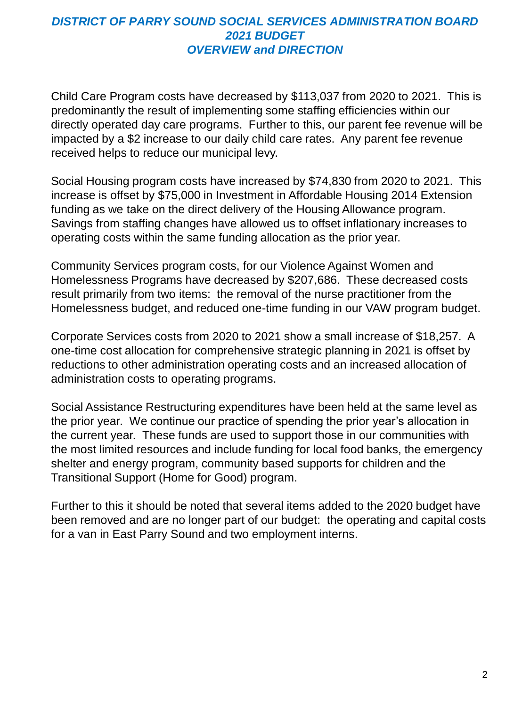## *DISTRICT OF PARRY SOUND SOCIAL SERVICES ADMINISTRATION BOARD 2021 BUDGET OVERVIEW and DIRECTION*

Child Care Program costs have decreased by \$113,037 from 2020 to 2021. This is predominantly the result of implementing some staffing efficiencies within our directly operated day care programs. Further to this, our parent fee revenue will be impacted by a \$2 increase to our daily child care rates. Any parent fee revenue received helps to reduce our municipal levy.

Social Housing program costs have increased by \$74,830 from 2020 to 2021. This increase is offset by \$75,000 in Investment in Affordable Housing 2014 Extension funding as we take on the direct delivery of the Housing Allowance program. Savings from staffing changes have allowed us to offset inflationary increases to operating costs within the same funding allocation as the prior year.

Community Services program costs, for our Violence Against Women and Homelessness Programs have decreased by \$207,686. These decreased costs result primarily from two items: the removal of the nurse practitioner from the Homelessness budget, and reduced one-time funding in our VAW program budget.

Corporate Services costs from 2020 to 2021 show a small increase of \$18,257. A one-time cost allocation for comprehensive strategic planning in 2021 is offset by reductions to other administration operating costs and an increased allocation of administration costs to operating programs.

Social Assistance Restructuring expenditures have been held at the same level as the prior year. We continue our practice of spending the prior year's allocation in the current year. These funds are used to support those in our communities with the most limited resources and include funding for local food banks, the emergency shelter and energy program, community based supports for children and the Transitional Support (Home for Good) program.

Further to this it should be noted that several items added to the 2020 budget have been removed and are no longer part of our budget: the operating and capital costs for a van in East Parry Sound and two employment interns.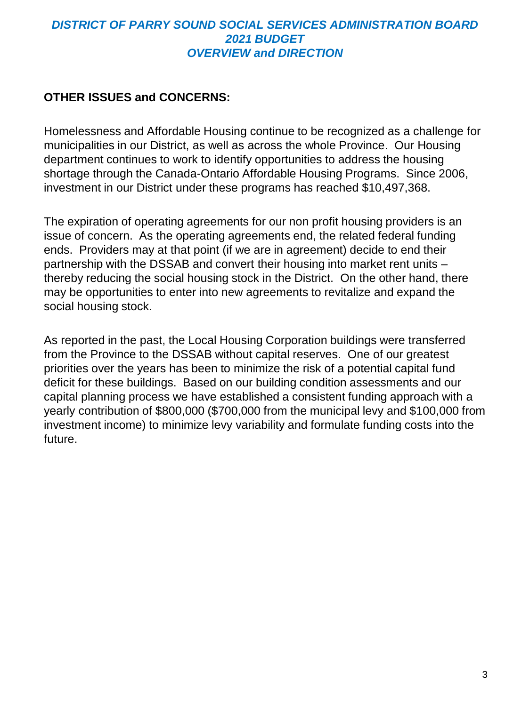## *DISTRICT OF PARRY SOUND SOCIAL SERVICES ADMINISTRATION BOARD 2021 BUDGET OVERVIEW and DIRECTION*

## **OTHER ISSUES and CONCERNS:**

Homelessness and Affordable Housing continue to be recognized as a challenge for municipalities in our District, as well as across the whole Province. Our Housing department continues to work to identify opportunities to address the housing shortage through the Canada-Ontario Affordable Housing Programs. Since 2006, investment in our District under these programs has reached \$10,497,368.

The expiration of operating agreements for our non profit housing providers is an issue of concern. As the operating agreements end, the related federal funding ends. Providers may at that point (if we are in agreement) decide to end their partnership with the DSSAB and convert their housing into market rent units – thereby reducing the social housing stock in the District. On the other hand, there may be opportunities to enter into new agreements to revitalize and expand the social housing stock.

As reported in the past, the Local Housing Corporation buildings were transferred from the Province to the DSSAB without capital reserves. One of our greatest priorities over the years has been to minimize the risk of a potential capital fund deficit for these buildings. Based on our building condition assessments and our capital planning process we have established a consistent funding approach with a yearly contribution of \$800,000 (\$700,000 from the municipal levy and \$100,000 from investment income) to minimize levy variability and formulate funding costs into the future.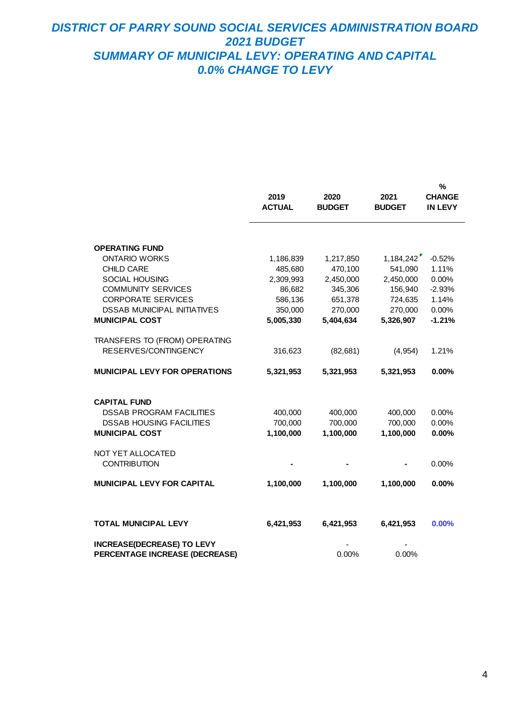### *DISTRICT OF PARRY SOUND SOCIAL SERVICES ADMINISTRATION BOARD 2021 BUDGET SUMMARY OF MUNICIPAL LEVY: OPERATING AND CAPITAL 0.0% CHANGE TO LEVY*

|                                                                                                                                                                                                                      | 2019<br><b>ACTUAL</b>                                                          | 2020<br><b>BUDGET</b>                                                           | 2021<br><b>BUDGET</b>                                                           | %<br><b>CHANGE</b><br>IN LEVY                                        |
|----------------------------------------------------------------------------------------------------------------------------------------------------------------------------------------------------------------------|--------------------------------------------------------------------------------|---------------------------------------------------------------------------------|---------------------------------------------------------------------------------|----------------------------------------------------------------------|
| <b>OPERATING FUND</b><br><b>ONTARIO WORKS</b><br><b>CHILD CARE</b><br><b>SOCIAL HOUSING</b><br><b>COMMUNITY SERVICES</b><br><b>CORPORATE SERVICES</b><br><b>DSSAB MUNICIPAL INITIATIVES</b><br><b>MUNICIPAL COST</b> | 1,186,839<br>485,680<br>2,309,993<br>86,682<br>586,136<br>350,000<br>5,005,330 | 1,217,850<br>470,100<br>2,450,000<br>345,306<br>651,378<br>270,000<br>5,404,634 | 1,184,242<br>541,090<br>2,450,000<br>156,940<br>724,635<br>270,000<br>5,326,907 | $-0.52%$<br>1.11%<br>0.00%<br>$-2.93%$<br>1.14%<br>0.00%<br>$-1.21%$ |
| TRANSFERS TO (FROM) OPERATING<br>RESERVES/CONTINGENCY<br><b>MUNICIPAL LEVY FOR OPERATIONS</b>                                                                                                                        | 316,623<br>5,321,953                                                           | (82, 681)<br>5,321,953                                                          | (4, 954)<br>5,321,953                                                           | 1.21%<br>0.00%                                                       |
| <b>CAPITAL FUND</b><br><b>DSSAB PROGRAM FACILITIES</b><br><b>DSSAB HOUSING FACILITIES</b><br><b>MUNICIPAL COST</b>                                                                                                   | 400,000<br>700,000<br>1,100,000                                                | 400,000<br>700.000<br>1,100,000                                                 | 400,000<br>700.000<br>1,100,000                                                 | 0.00%<br>0.00%<br>0.00%                                              |
| NOT YET ALLOCATED<br><b>CONTRIBUTION</b><br><b>MUNICIPAL LEVY FOR CAPITAL</b>                                                                                                                                        | 1,100,000                                                                      | 1,100,000                                                                       | 1,100,000                                                                       | 0.00%<br>0.00%                                                       |
| <b>TOTAL MUNICIPAL LEVY</b>                                                                                                                                                                                          | 6,421,953                                                                      | 6,421,953                                                                       | 6,421,953                                                                       | 0.00%                                                                |
| <b>INCREASE(DECREASE) TO LEVY</b><br>PERCENTAGE INCREASE (DECREASE)                                                                                                                                                  |                                                                                | 0.00%                                                                           | 0.00%                                                                           |                                                                      |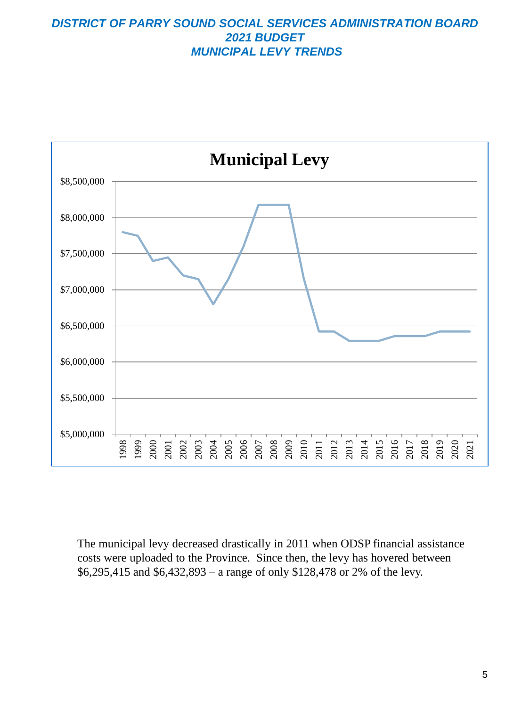#### *DISTRICT OF PARRY SOUND SOCIAL SERVICES ADMINISTRATION BOARD 2021 BUDGET MUNICIPAL LEVY TRENDS*



The municipal levy decreased drastically in 2011 when ODSP financial assistance costs were uploaded to the Province. Since then, the levy has hovered between \$6,295,415 and \$6,432,893 – a range of only \$128,478 or 2% of the levy.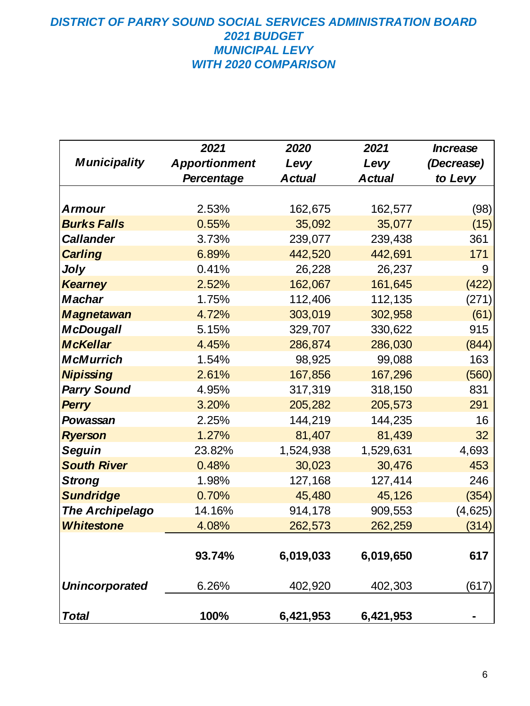## *DISTRICT OF PARRY SOUND SOCIAL SERVICES ADMINISTRATION BOARD 2021 BUDGET MUNICIPAL LEVY WITH 2020 COMPARISON*

|                        | 2021                 | 2020          | 2021          | <b>Increase</b> |
|------------------------|----------------------|---------------|---------------|-----------------|
| <b>Municipality</b>    | <b>Apportionment</b> | Levy          | Levy          | (Decrease)      |
|                        | <b>Percentage</b>    | <b>Actual</b> | <b>Actual</b> | to Levy         |
|                        |                      |               |               |                 |
| <b>Armour</b>          | 2.53%                | 162,675       | 162,577       | (98)            |
| <b>Burks Falls</b>     | 0.55%                | 35,092        | 35,077        | (15)            |
| <b>Callander</b>       | 3.73%                | 239,077       | 239,438       | 361             |
| <b>Carling</b>         | 6.89%                | 442,520       | 442,691       | 171             |
| Joly                   | 0.41%                | 26,228        | 26,237        | 9               |
| <b>Kearney</b>         | 2.52%                | 162,067       | 161,645       | (422)           |
| <b>Machar</b>          | 1.75%                | 112,406       | 112,135       | (271)           |
| <b>Magnetawan</b>      | 4.72%                | 303,019       | 302,958       | (61)            |
| <b>McDougall</b>       | 5.15%                | 329,707       | 330,622       | 915             |
| <b>McKellar</b>        | 4.45%                | 286,874       | 286,030       | (844)           |
| <b>McMurrich</b>       | 1.54%                | 98,925        | 99,088        | 163             |
| <b>Nipissing</b>       | 2.61%                | 167,856       | 167,296       | (560)           |
| <b>Parry Sound</b>     | 4.95%                | 317,319       | 318,150       | 831             |
| <b>Perry</b>           | 3.20%                | 205,282       | 205,573       | 291             |
| Powassan               | 2.25%                | 144,219       | 144,235       | 16              |
| <b>Ryerson</b>         | 1.27%                | 81,407        | 81,439        | 32              |
| <b>Seguin</b>          | 23.82%               | 1,524,938     | 1,529,631     | 4,693           |
| <b>South River</b>     | 0.48%                | 30,023        | 30,476        | 453             |
| <b>Strong</b>          | 1.98%                | 127,168       | 127,414       | 246             |
| <b>Sundridge</b>       | 0.70%                | 45,480        | 45,126        | (354)           |
| <b>The Archipelago</b> | 14.16%               | 914,178       | 909,553       | (4,625)         |
| <b>Whitestone</b>      | 4.08%                | 262,573       | 262,259       | (314)           |
|                        |                      |               |               |                 |
|                        | 93.74%               | 6,019,033     | 6,019,650     | 617             |
| <b>Unincorporated</b>  | 6.26%                | 402,920       | 402,303       | (617)           |
| <b>Total</b>           | 100%                 | 6,421,953     | 6,421,953     |                 |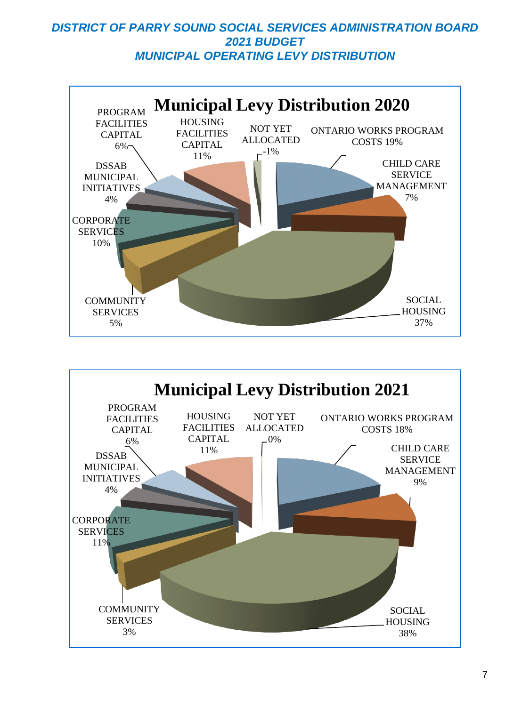## *DISTRICT OF PARRY SOUND SOCIAL SERVICES ADMINISTRATION BOARD 2021 BUDGET MUNICIPAL OPERATING LEVY DISTRIBUTION*



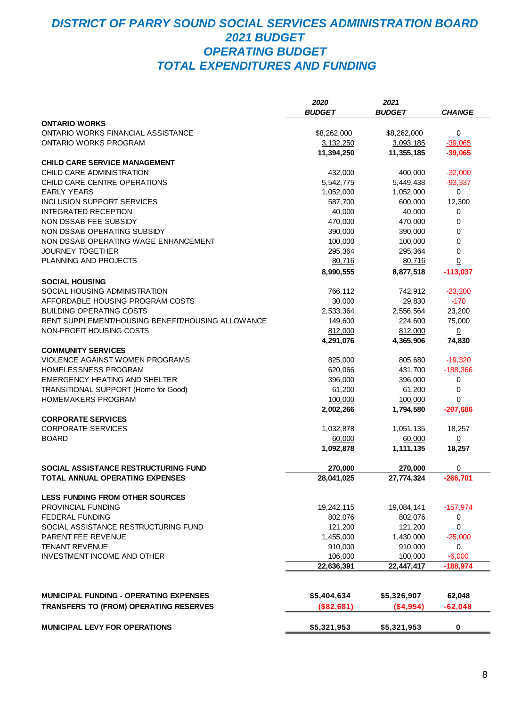## *DISTRICT OF PARRY SOUND SOCIAL SERVICES ADMINISTRATION BOARD 2021 BUDGET OPERATING BUDGET TOTAL EXPENDITURES AND FUNDING*

|                                                                               | 2020          | 2021          |                |
|-------------------------------------------------------------------------------|---------------|---------------|----------------|
|                                                                               | <b>BUDGET</b> | <b>BUDGET</b> | <b>CHANGE</b>  |
| <b>ONTARIO WORKS</b>                                                          |               |               |                |
| <b>ONTARIO WORKS FINANCIAL ASSISTANCE</b>                                     | \$8,262,000   | \$8,262,000   | 0              |
| ONTARIO WORKS PROGRAM                                                         | 3,132,250     | 3,093,185     | $-39,065$      |
|                                                                               | 11,394,250    | 11,355,185    | $-39,065$      |
| <b>CHILD CARE SERVICE MANAGEMENT</b>                                          |               |               |                |
| CHILD CARE ADMINISTRATION                                                     | 432,000       | 400,000       | $-32,000$      |
| CHILD CARE CENTRE OPERATIONS                                                  | 5,542,775     | 5,449,438     | $-93,337$      |
| <b>EARLY YEARS</b>                                                            | 1,052,000     | 1,052,000     | 0              |
| <b>INCLUSION SUPPORT SERVICES</b>                                             | 587,700       | 600,000       | 12,300         |
| <b>INTEGRATED RECEPTION</b>                                                   | 40,000        | 40,000        | 0              |
| NON DSSAB FEE SUBSIDY                                                         | 470,000       | 470,000       | $\mathbf 0$    |
| NON DSSAB OPERATING SUBSIDY                                                   | 390,000       | 390,000       | 0              |
| NON DSSAB OPERATING WAGE ENHANCEMENT                                          | 100,000       | 100,000       | $\mathbf 0$    |
| <b>JOURNEY TOGETHER</b>                                                       | 295,364       | 295,364       | $\mathbf 0$    |
| PLANNING AND PROJECTS                                                         | 80,716        | 80,716        | $\overline{0}$ |
|                                                                               |               |               |                |
|                                                                               | 8,990,555     | 8,877,518     | $-113,037$     |
| <b>SOCIAL HOUSING</b>                                                         |               |               |                |
| SOCIAL HOUSING ADMINISTRATION<br>AFFORDABLE HOUSING PROGRAM COSTS             | 766,112       | 742,912       | $-23,200$      |
|                                                                               | 30,000        | 29,830        | $-170$         |
| <b>BUILDING OPERATING COSTS</b>                                               | 2,533,364     | 2,556,564     | 23,200         |
| RENT SUPPLEMENT/HOUSING BENEFIT/HOUSING ALLOWANCE<br>NON-PROFIT HOUSING COSTS | 149,600       | 224,600       | 75,000         |
|                                                                               | 812,000       | 812,000       | $\overline{0}$ |
|                                                                               | 4,291,076     | 4,365,906     | 74,830         |
| <b>COMMUNITY SERVICES</b>                                                     |               |               |                |
| VIOLENCE AGAINST WOMEN PROGRAMS                                               | 825,000       | 805,680       | $-19,320$      |
| HOMELESSNESS PROGRAM                                                          | 620,066       | 431,700       | $-188,366$     |
| <b>EMERGENCY HEATING AND SHELTER</b>                                          | 396,000       | 396,000       | 0              |
| TRANSITIONAL SUPPORT (Home for Good)                                          | 61,200        | 61,200        | $\mathbf 0$    |
| <b>HOMEMAKERS PROGRAM</b>                                                     | 100,000       | 100,000       | $\overline{0}$ |
|                                                                               | 2,002,266     | 1,794,580     | $-207,686$     |
| <b>CORPORATE SERVICES</b>                                                     |               |               |                |
| <b>CORPORATE SERVICES</b>                                                     | 1,032,878     | 1,051,135     | 18,257         |
| <b>BOARD</b>                                                                  | 60,000        | 60,000        | $\overline{0}$ |
|                                                                               | 1,092,878     | 1,111,135     | 18,257         |
| SOCIAL ASSISTANCE RESTRUCTURING FUND                                          | 270,000       | 270,000       | 0              |
| TOTAL ANNUAL OPERATING EXPENSES                                               | 28,041,025    | 27,774,324    | -266,701       |
|                                                                               |               |               |                |
| <b>LESS FUNDING FROM OTHER SOURCES</b>                                        |               |               |                |
| PROVINCIAL FUNDING                                                            | 19,242,115    | 19,084,141    | $-157,974$     |
| <b>FEDERAL FUNDING</b>                                                        | 802,076       | 802,076       | 0              |
| SOCIAL ASSISTANCE RESTRUCTURING FUND                                          | 121,200       | 121,200       | $\mathbf 0$    |
| PARENT FEE REVENUE                                                            | 1,455,000     | 1,430,000     | $-25,000$      |
| <b>TENANT REVENUE</b>                                                         | 910,000       | 910,000       | 0              |
| <b>INVESTMENT INCOME AND OTHER</b>                                            | 106,000       | 100,000       | $-6,000$       |
|                                                                               | 22,636,391    | 22,447,417    | $-188,974$     |
|                                                                               |               |               |                |
| <b>MUNICIPAL FUNDING - OPERATING EXPENSES</b>                                 | \$5,404,634   | \$5,326,907   | 62,048         |
| <b>TRANSFERS TO (FROM) OPERATING RESERVES</b>                                 | (\$82,681)    | ( \$4, 954)   | $-62,048$      |
| MUNICIPAL LEVY FOR OPERATIONS                                                 | \$5,321,953   | \$5,321,953   | $\pmb{0}$      |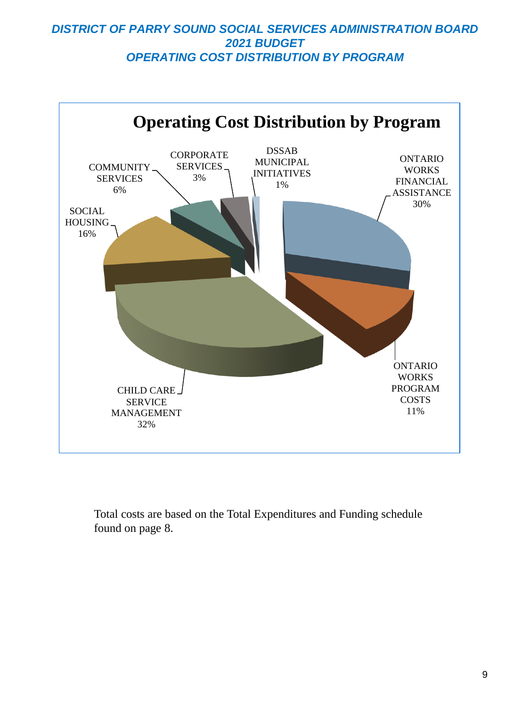## *DISTRICT OF PARRY SOUND SOCIAL SERVICES ADMINISTRATION BOARD 2021 BUDGET OPERATING COST DISTRIBUTION BY PROGRAM*



Total costs are based on the Total Expenditures and Funding schedule found on page 8.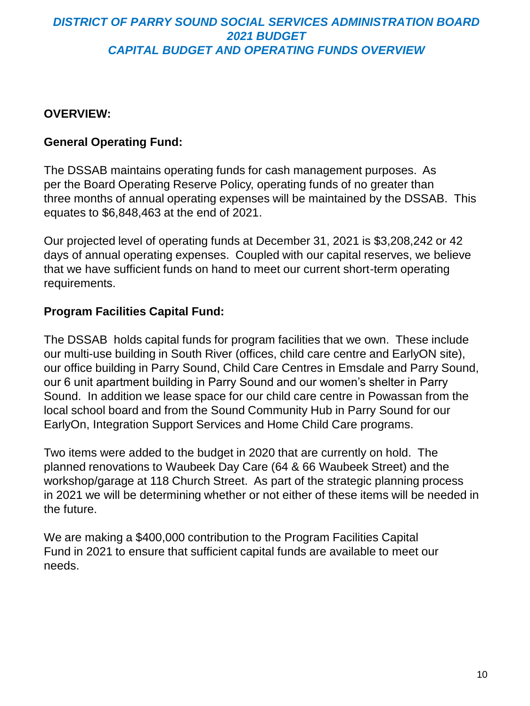## *DISTRICT OF PARRY SOUND SOCIAL SERVICES ADMINISTRATION BOARD 2021 BUDGET CAPITAL BUDGET AND OPERATING FUNDS OVERVIEW*

## **OVERVIEW:**

## **General Operating Fund:**

The DSSAB maintains operating funds for cash management purposes. As per the Board Operating Reserve Policy, operating funds of no greater than three months of annual operating expenses will be maintained by the DSSAB. This equates to \$6,848,463 at the end of 2021.

Our projected level of operating funds at December 31, 2021 is \$3,208,242 or 42 days of annual operating expenses. Coupled with our capital reserves, we believe that we have sufficient funds on hand to meet our current short-term operating requirements.

## **Program Facilities Capital Fund:**

The DSSAB holds capital funds for program facilities that we own. These include our multi-use building in South River (offices, child care centre and EarlyON site), our office building in Parry Sound, Child Care Centres in Emsdale and Parry Sound, our 6 unit apartment building in Parry Sound and our women's shelter in Parry Sound. In addition we lease space for our child care centre in Powassan from the local school board and from the Sound Community Hub in Parry Sound for our EarlyOn, Integration Support Services and Home Child Care programs.

Two items were added to the budget in 2020 that are currently on hold. The planned renovations to Waubeek Day Care (64 & 66 Waubeek Street) and the workshop/garage at 118 Church Street. As part of the strategic planning process in 2021 we will be determining whether or not either of these items will be needed in the future.

We are making a \$400,000 contribution to the Program Facilities Capital Fund in 2021 to ensure that sufficient capital funds are available to meet our needs.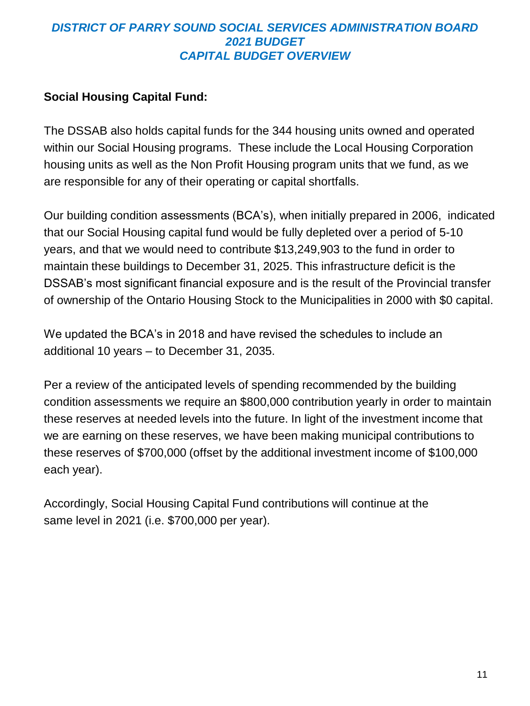## *DISTRICT OF PARRY SOUND SOCIAL SERVICES ADMINISTRATION BOARD 2021 BUDGET CAPITAL BUDGET OVERVIEW*

## **Social Housing Capital Fund:**

The DSSAB also holds capital funds for the 344 housing units owned and operated within our Social Housing programs. These include the Local Housing Corporation housing units as well as the Non Profit Housing program units that we fund, as we are responsible for any of their operating or capital shortfalls.

Our building condition assessments (BCA's), when initially prepared in 2006, indicated that our Social Housing capital fund would be fully depleted over a period of 5-10 years, and that we would need to contribute \$13,249,903 to the fund in order to maintain these buildings to December 31, 2025. This infrastructure deficit is the DSSAB's most significant financial exposure and is the result of the Provincial transfer of ownership of the Ontario Housing Stock to the Municipalities in 2000 with \$0 capital.

We updated the BCA's in 2018 and have revised the schedules to include an additional 10 years – to December 31, 2035.

Per a review of the anticipated levels of spending recommended by the building condition assessments we require an \$800,000 contribution yearly in order to maintain these reserves at needed levels into the future. In light of the investment income that we are earning on these reserves, we have been making municipal contributions to these reserves of \$700,000 (offset by the additional investment income of \$100,000 each year).

Accordingly, Social Housing Capital Fund contributions will continue at the same level in 2021 (i.e. \$700,000 per year).